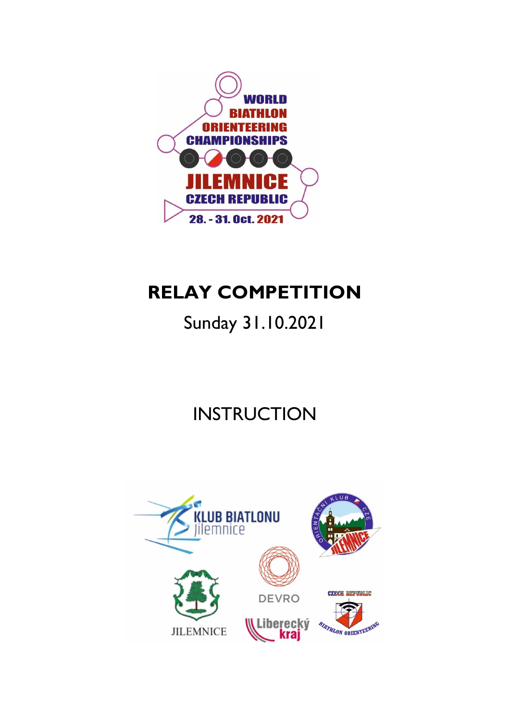

# **RELAY COMPETITION**

## Sunday 31.10.2021

# **INSTRUCTION**

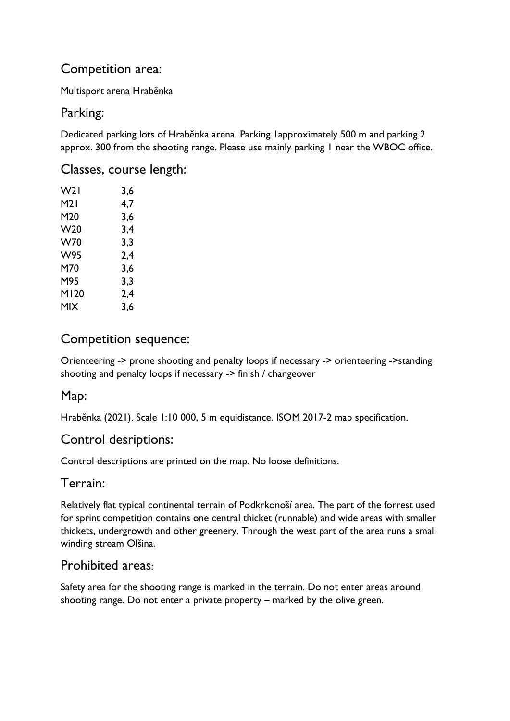## Competition area:

Multisport arena Hraběnka

## Parking:

Dedicated parking lots of Hraběnka arena. Parking 1approximately 500 m and parking 2 approx. 300 from the shooting range. Please use mainly parking 1 near the WBOC office.

#### Classes, course length:

| W21   | 3,6 |
|-------|-----|
| M21   | 4,7 |
| M20   | 3,6 |
| W20   | 3,4 |
| W70   | 3,3 |
| W95   | 2,4 |
| M70   | 3,6 |
| M95   | 3,3 |
| MI 20 | 2,4 |
| MIX   | 3,6 |

### Competition sequence:

Orienteering -> prone shooting and penalty loops if necessary -> orienteering ->standing shooting and penalty loops if necessary -> finish / changeover

## Map:

Hraběnka (2021). Scale 1:10 000, 5 m equidistance. ISOM 2017-2 map specification.

## Control desriptions:

Control descriptions are printed on the map. No loose definitions.

#### Terrain:

Relatively flat typical continental terrain of Podkrkonoší area. The part of the forrest used for sprint competition contains one central thicket (runnable) and wide areas with smaller thickets, undergrowth and other greenery. Through the west part of the area runs a small winding stream Olšina.

## Prohibited areas:

Safety area for the shooting range is marked in the terrain. Do not enter areas around shooting range. Do not enter a private property – marked by the olive green.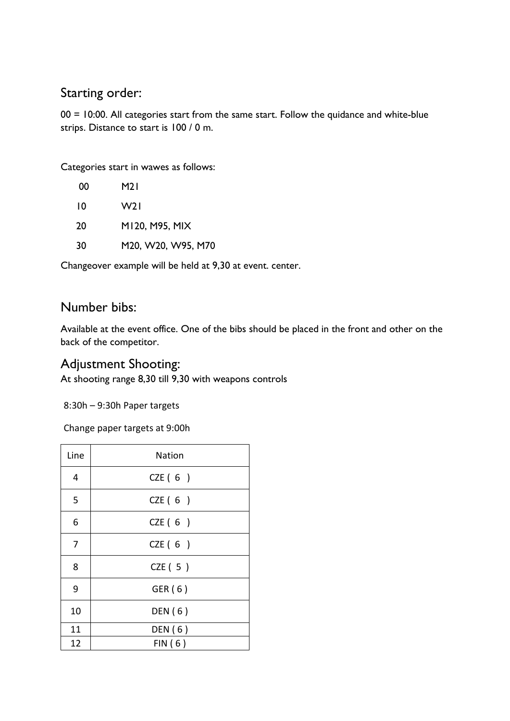## Starting order:

00 = 10:00. All categories start from the same start. Follow the quidance and white-blue strips. Distance to start is 100 / 0 m.

Categories start in wawes as follows:

| 00 | M2 I               |
|----|--------------------|
| 10 | W21                |
| 20 | M120, M95, MIX     |
| 30 | M20, W20, W95, M70 |
|    |                    |

Changeover example will be held at 9,30 at event. center.

## Number bibs:

Available at the event office. One of the bibs should be placed in the front and other on the back of the competitor.

### Adjustment Shooting:

At shooting range 8,30 till 9,30 with weapons controls

8:30h – 9:30h Paper targets

Change paper targets at 9:00h

| Line | Nation  |
|------|---------|
| 4    | CZE(6)  |
| 5    | CZE(6)  |
| 6    | CZE(6)  |
| 7    | CZE(6)  |
| 8    | CZE(5)  |
| 9    | GER (6) |
| 10   | DEN (6) |
| 11   | DEN (6) |
| 12   | FIN(6)  |